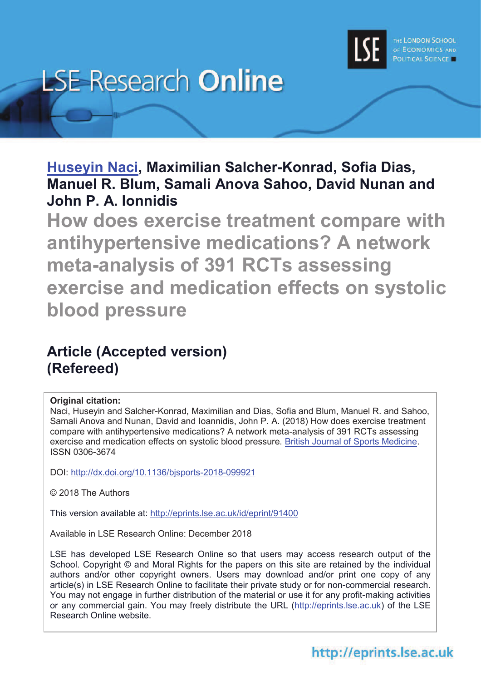

# **LSE Research Online**

**Huseyin Naci, Maximilian Salcher-Konrad, Sofia Dias, Manuel R. Blum, Samali Anova Sahoo, David Nunan and John P. A. Ionnidis**

**How does exercise treatment compare with antihypertensive medications? A network meta-analysis of 391 RCTs assessing exercise and medication effects on systolic blood pressure**

# **Article (Accepted version) (Refereed)**

# **Original citation:**

Naci, Huseyin and Salcher-Konrad, Maximilian and Dias, Sofia and Blum, Manuel R. and Sahoo, Samali Anova and Nunan, David and Ioannidis, John P. A. (2018) How does exercise treatment compare with antihypertensive medications? A network meta-analysis of 391 RCTs assessing exercise and medication effects on systolic blood pressure. British Journal of Sports Medicine. ISSN 0306-3674

DOI: http://dx.doi.org/10.1136/bjsports-2018-099921

© 2018 The Authors

This version available at: http://eprints.lse.ac.uk/id/eprint/91400

Available in LSE Research Online: December 2018

LSE has developed LSE Research Online so that users may access research output of the School. Copyright © and Moral Rights for the papers on this site are retained by the individual authors and/or other copyright owners. Users may download and/or print one copy of any article(s) in LSE Research Online to facilitate their private study or for non-commercial research. You may not engage in further distribution of the material or use it for any profit-making activities or any commercial gain. You may freely distribute the URL (http://eprints.lse.ac.uk) of the LSE Research Online website.

# http://eprints.lse.ac.uk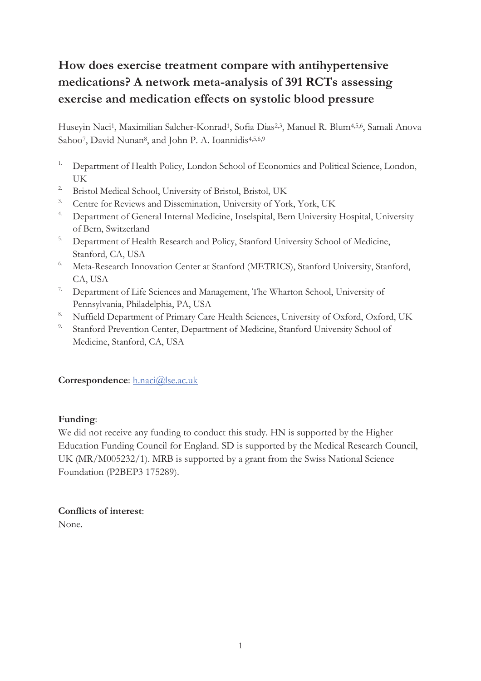# **How does exercise treatment compare with antihypertensive medications? A network meta-analysis of 391 RCTs assessing exercise and medication effects on systolic blood pressure**

Huseyin Naci<sup>1</sup>, Maximilian Salcher-Konrad<sup>1</sup>, Sofia Dias<sup>2,3</sup>, Manuel R. Blum<sup>4,5,6</sup>, Samali Anova Sahoo<sup>7</sup>, David Nunan<sup>8</sup>, and John P. A. Ioannidis<sup>4,5,6,9</sup>

- <sup>1.</sup> Department of Health Policy, London School of Economics and Political Science, London, UK
- <sup>2</sup> Bristol Medical School, University of Bristol, Bristol, UK
- <sup>3.</sup> Centre for Reviews and Dissemination, University of York, York, UK
- <sup>4.</sup> Department of General Internal Medicine, Inselspital, Bern University Hospital, University of Bern, Switzerland
- <sup>5.</sup> Department of Health Research and Policy, Stanford University School of Medicine, Stanford, CA, USA
- 6. Meta-Research Innovation Center at Stanford (METRICS), Stanford University, Stanford, CA, USA
- <sup>7.</sup> Department of Life Sciences and Management, The Wharton School, University of Pennsylvania, Philadelphia, PA, USA
- <sup>8.</sup> Nuffield Department of Primary Care Health Sciences, University of Oxford, Oxford, UK
- Stanford Prevention Center, Department of Medicine, Stanford University School of Medicine, Stanford, CA, USA

# **Correspondence**: h.naci@lse.ac.uk

# **Funding**:

We did not receive any funding to conduct this study. HN is supported by the Higher Education Funding Council for England. SD is supported by the Medical Research Council, UK (MR/M005232/1). MRB is supported by a grant from the Swiss National Science Foundation (P2BEP3 175289).

# **Conflicts of interest**:

None.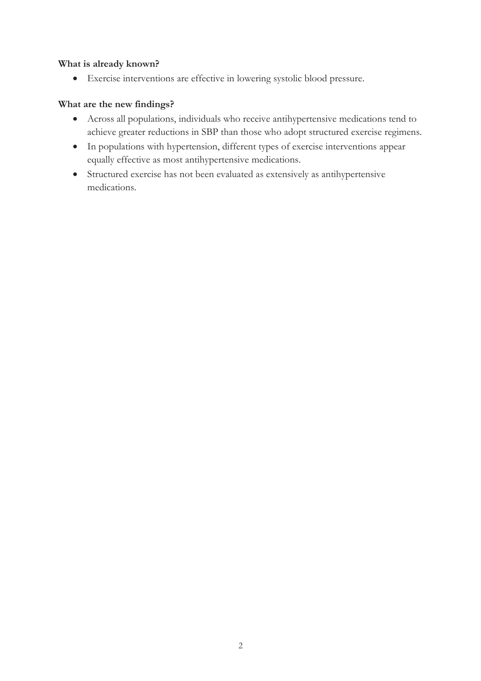# **What is already known?**

· Exercise interventions are effective in lowering systolic blood pressure.

# **What are the new findings?**

- · Across all populations, individuals who receive antihypertensive medications tend to achieve greater reductions in SBP than those who adopt structured exercise regimens.
- · In populations with hypertension, different types of exercise interventions appear equally effective as most antihypertensive medications.
- · Structured exercise has not been evaluated as extensively as antihypertensive medications.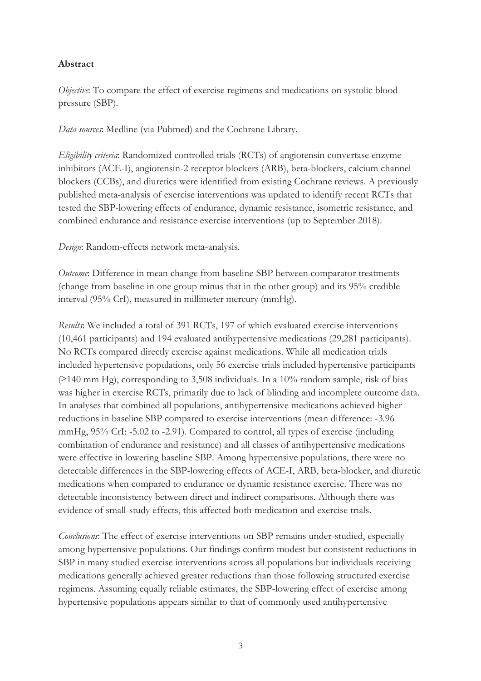# **Abstract**

*Objective*: To compare the effect of exercise regimens and medications on systolic blood pressure (SBP).

*Data sources*: Medline (via Pubmed) and the Cochrane Library.

*Eligibility criteria*: Randomized controlled trials (RCTs) of angiotensin convertase enzyme inhibitors (ACE-I), angiotensin-2 receptor blockers (ARB), beta-blockers, calcium channel blockers (CCBs), and diuretics were identified from existing Cochrane reviews. A previously published meta-analysis of exercise interventions was updated to identify recent RCTs that tested the SBP-lowering effects of endurance, dynamic resistance, isometric resistance, and combined endurance and resistance exercise interventions (up to September 2018).

*Design*: Random-effects network meta-analysis.

*Outcome*: Difference in mean change from baseline SBP between comparator treatments (change from baseline in one group minus that in the other group) and its 95% credible interval (95% CrI), measured in millimeter mercury (mmHg).

*Results*: We included a total of 391 RCTs, 197 of which evaluated exercise interventions (10,461 participants) and 194 evaluated antihypertensive medications (29,281 participants). No RCTs compared directly exercise against medications. While all medication trials included hypertensive populations, only 56 exercise trials included hypertensive participants  $(2140 \text{ mm Hg})$ , corresponding to 3,508 individuals. In a 10% random sample, risk of bias was higher in exercise RCTs, primarily due to lack of blinding and incomplete outcome data. In analyses that combined all populations, antihypertensive medications achieved higher reductions in baseline SBP compared to exercise interventions (mean difference: -3.96 mmHg, 95% CrI: -5.02 to -2.91). Compared to control, all types of exercise (including combination of endurance and resistance) and all classes of antihypertensive medications were effective in lowering baseline SBP. Among hypertensive populations, there were no detectable differences in the SBP-lowering effects of ACE-I, ARB, beta-blocker, and diuretic medications when compared to endurance or dynamic resistance exercise. There was no detectable inconsistency between direct and indirect comparisons. Although there was evidence of small-study effects, this affected both medication and exercise trials.

*Conclusions*: The effect of exercise interventions on SBP remains under-studied, especially among hypertensive populations. Our findings confirm modest but consistent reductions in SBP in many studied exercise interventions across all populations but individuals receiving medications generally achieved greater reductions than those following structured exercise regimens. Assuming equally reliable estimates, the SBP-lowering effect of exercise among hypertensive populations appears similar to that of commonly used antihypertensive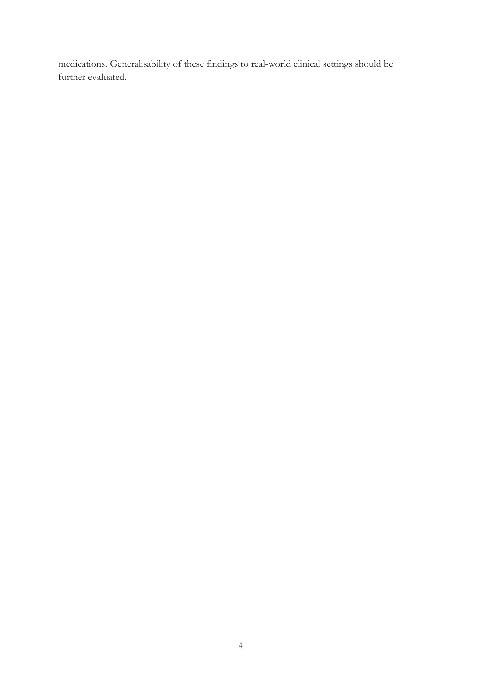medications. Generalisability of these findings to real-world clinical settings should be further evaluated.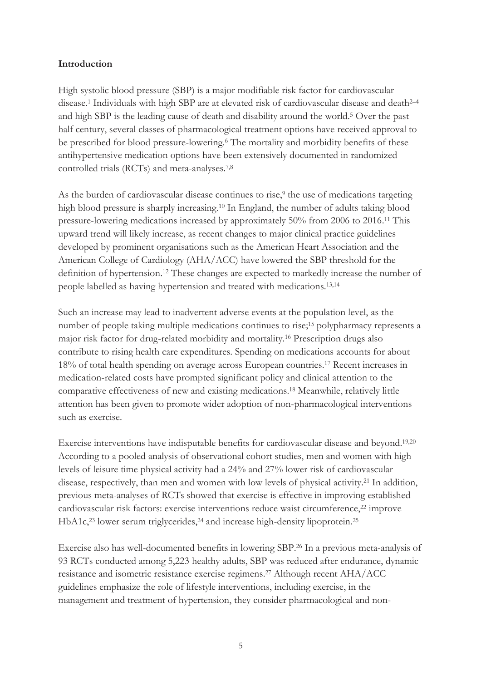# **Introduction**

High systolic blood pressure (SBP) is a major modifiable risk factor for cardiovascular disease.<sup>1</sup> Individuals with high SBP are at elevated risk of cardiovascular disease and death<sup>2</sup>–<sup>4</sup> and high SBP is the leading cause of death and disability around the world.<sup>5</sup> Over the past half century, several classes of pharmacological treatment options have received approval to be prescribed for blood pressure-lowering.<sup>6</sup> The mortality and morbidity benefits of these antihypertensive medication options have been extensively documented in randomized controlled trials (RCTs) and meta-analyses.7,8

As the burden of cardiovascular disease continues to rise,<sup>9</sup> the use of medications targeting high blood pressure is sharply increasing.<sup>10</sup> In England, the number of adults taking blood pressure-lowering medications increased by approximately 50% from 2006 to 2016.11 This upward trend will likely increase, as recent changes to major clinical practice guidelines developed by prominent organisations such as the American Heart Association and the American College of Cardiology (AHA/ACC) have lowered the SBP threshold for the definition of hypertension.12 These changes are expected to markedly increase the number of people labelled as having hypertension and treated with medications.13,14

Such an increase may lead to inadvertent adverse events at the population level, as the number of people taking multiple medications continues to rise;<sup>15</sup> polypharmacy represents a major risk factor for drug-related morbidity and mortality.16 Prescription drugs also contribute to rising health care expenditures. Spending on medications accounts for about 18% of total health spending on average across European countries. <sup>17</sup> Recent increases in medication-related costs have prompted significant policy and clinical attention to the comparative effectiveness of new and existing medications.18 Meanwhile, relatively little attention has been given to promote wider adoption of non-pharmacological interventions such as exercise.

Exercise interventions have indisputable benefits for cardiovascular disease and beyond.19,20 According to a pooled analysis of observational cohort studies, men and women with high levels of leisure time physical activity had a 24% and 27% lower risk of cardiovascular disease, respectively, than men and women with low levels of physical activity.21 In addition, previous meta-analyses of RCTs showed that exercise is effective in improving established cardiovascular risk factors: exercise interventions reduce waist circumference,22 improve HbA1c,<sup>23</sup> lower serum triglycerides,<sup>24</sup> and increase high-density lipoprotein.<sup>25</sup>

Exercise also has well-documented benefits in lowering SBP.26 In a previous meta-analysis of 93 RCTs conducted among 5,223 healthy adults, SBP was reduced after endurance, dynamic resistance and isometric resistance exercise regimens.27 Although recent AHA/ACC guidelines emphasize the role of lifestyle interventions, including exercise, in the management and treatment of hypertension, they consider pharmacological and non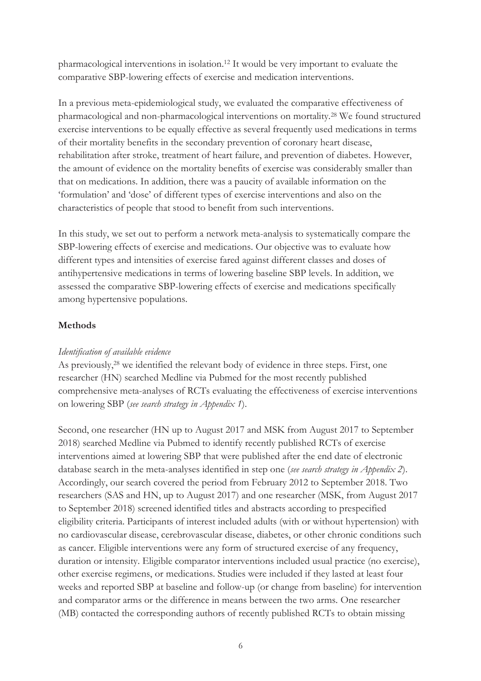pharmacological interventions in isolation.12 It would be very important to evaluate the comparative SBP-lowering effects of exercise and medication interventions.

In a previous meta-epidemiological study, we evaluated the comparative effectiveness of pharmacological and non-pharmacological interventions on mortality.28 We found structured exercise interventions to be equally effective as several frequently used medications in terms of their mortality benefits in the secondary prevention of coronary heart disease, rehabilitation after stroke, treatment of heart failure, and prevention of diabetes. However, the amount of evidence on the mortality benefits of exercise was considerably smaller than that on medications. In addition, there was a paucity of available information on the 'formulation' and 'dose' of different types of exercise interventions and also on the characteristics of people that stood to benefit from such interventions.

In this study, we set out to perform a network meta-analysis to systematically compare the SBP-lowering effects of exercise and medications. Our objective was to evaluate how different types and intensities of exercise fared against different classes and doses of antihypertensive medications in terms of lowering baseline SBP levels. In addition, we assessed the comparative SBP-lowering effects of exercise and medications specifically among hypertensive populations.

# **Methods**

#### *Identification of available evidence*

As previously,<sup>28</sup> we identified the relevant body of evidence in three steps. First, one researcher (HN) searched Medline via Pubmed for the most recently published comprehensive meta-analyses of RCTs evaluating the effectiveness of exercise interventions on lowering SBP (*see search strategy in Appendix 1*).

Second, one researcher (HN up to August 2017 and MSK from August 2017 to September 2018) searched Medline via Pubmed to identify recently published RCTs of exercise interventions aimed at lowering SBP that were published after the end date of electronic database search in the meta-analyses identified in step one (*see search strategy in Appendix 2*). Accordingly, our search covered the period from February 2012 to September 2018. Two researchers (SAS and HN, up to August 2017) and one researcher (MSK, from August 2017 to September 2018) screened identified titles and abstracts according to prespecified eligibility criteria. Participants of interest included adults (with or without hypertension) with no cardiovascular disease, cerebrovascular disease, diabetes, or other chronic conditions such as cancer. Eligible interventions were any form of structured exercise of any frequency, duration or intensity. Eligible comparator interventions included usual practice (no exercise), other exercise regimens, or medications. Studies were included if they lasted at least four weeks and reported SBP at baseline and follow-up (or change from baseline) for intervention and comparator arms or the difference in means between the two arms. One researcher (MB) contacted the corresponding authors of recently published RCTs to obtain missing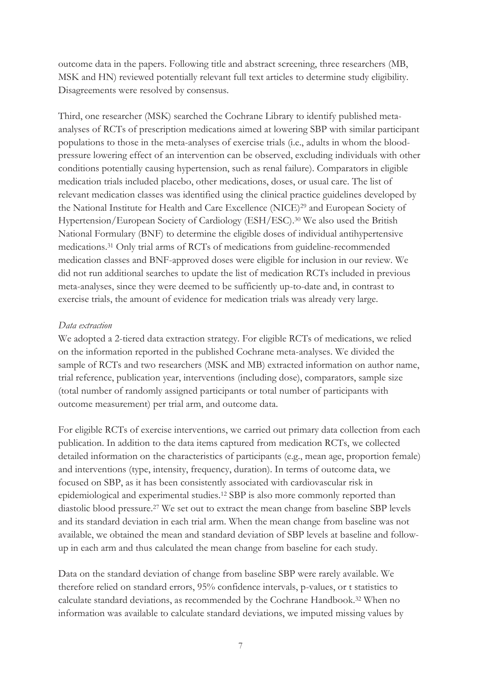outcome data in the papers. Following title and abstract screening, three researchers (MB, MSK and HN) reviewed potentially relevant full text articles to determine study eligibility. Disagreements were resolved by consensus.

Third, one researcher (MSK) searched the Cochrane Library to identify published metaanalyses of RCTs of prescription medications aimed at lowering SBP with similar participant populations to those in the meta-analyses of exercise trials (i.e., adults in whom the bloodpressure lowering effect of an intervention can be observed, excluding individuals with other conditions potentially causing hypertension, such as renal failure). Comparators in eligible medication trials included placebo, other medications, doses, or usual care. The list of relevant medication classes was identified using the clinical practice guidelines developed by the National Institute for Health and Care Excellence (NICE)29 and European Society of Hypertension/European Society of Cardiology (ESH/ESC).30 We also used the British National Formulary (BNF) to determine the eligible doses of individual antihypertensive medications.31 Only trial arms of RCTs of medications from guideline-recommended medication classes and BNF-approved doses were eligible for inclusion in our review. We did not run additional searches to update the list of medication RCTs included in previous meta-analyses, since they were deemed to be sufficiently up-to-date and, in contrast to exercise trials, the amount of evidence for medication trials was already very large.

# *Data extraction*

We adopted a 2-tiered data extraction strategy. For eligible RCTs of medications, we relied on the information reported in the published Cochrane meta-analyses. We divided the sample of RCTs and two researchers (MSK and MB) extracted information on author name, trial reference, publication year, interventions (including dose), comparators, sample size (total number of randomly assigned participants or total number of participants with outcome measurement) per trial arm, and outcome data.

For eligible RCTs of exercise interventions, we carried out primary data collection from each publication. In addition to the data items captured from medication RCTs, we collected detailed information on the characteristics of participants (e.g., mean age, proportion female) and interventions (type, intensity, frequency, duration). In terms of outcome data, we focused on SBP, as it has been consistently associated with cardiovascular risk in epidemiological and experimental studies.12 SBP is also more commonly reported than diastolic blood pressure.27 We set out to extract the mean change from baseline SBP levels and its standard deviation in each trial arm. When the mean change from baseline was not available, we obtained the mean and standard deviation of SBP levels at baseline and followup in each arm and thus calculated the mean change from baseline for each study.

Data on the standard deviation of change from baseline SBP were rarely available. We therefore relied on standard errors, 95% confidence intervals, p-values, or t statistics to calculate standard deviations, as recommended by the Cochrane Handbook.32 When no information was available to calculate standard deviations, we imputed missing values by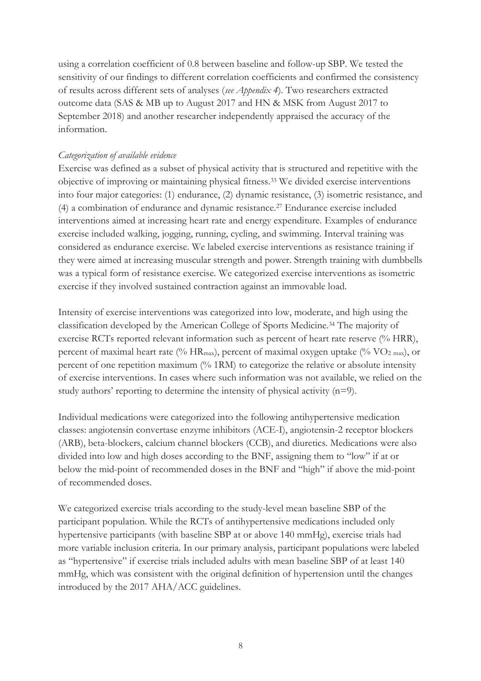using a correlation coefficient of 0.8 between baseline and follow-up SBP. We tested the sensitivity of our findings to different correlation coefficients and confirmed the consistency of results across different sets of analyses (*see Appendix 4*). Two researchers extracted outcome data (SAS & MB up to August 2017 and HN & MSK from August 2017 to September 2018) and another researcher independently appraised the accuracy of the information.

# *Categorization of available evidence*

Exercise was defined as a subset of physical activity that is structured and repetitive with the objective of improving or maintaining physical fitness.33 We divided exercise interventions into four major categories: (1) endurance, (2) dynamic resistance, (3) isometric resistance, and (4) a combination of endurance and dynamic resistance.27 Endurance exercise included interventions aimed at increasing heart rate and energy expenditure. Examples of endurance exercise included walking, jogging, running, cycling, and swimming. Interval training was considered as endurance exercise. We labeled exercise interventions as resistance training if they were aimed at increasing muscular strength and power. Strength training with dumbbells was a typical form of resistance exercise. We categorized exercise interventions as isometric exercise if they involved sustained contraction against an immovable load.

Intensity of exercise interventions was categorized into low, moderate, and high using the classification developed by the American College of Sports Medicine.34 The majority of exercise RCTs reported relevant information such as percent of heart rate reserve (% HRR), percent of maximal heart rate (% HR<sub>max</sub>), percent of maximal oxygen uptake (% VO<sub>2 max</sub>), or percent of one repetition maximum (% 1RM) to categorize the relative or absolute intensity of exercise interventions. In cases where such information was not available, we relied on the study authors' reporting to determine the intensity of physical activity (n=9).

Individual medications were categorized into the following antihypertensive medication classes: angiotensin convertase enzyme inhibitors (ACE-I), angiotensin-2 receptor blockers (ARB), beta-blockers, calcium channel blockers (CCB), and diuretics. Medications were also divided into low and high doses according to the BNF, assigning them to "low" if at or below the mid-point of recommended doses in the BNF and "high" if above the mid-point of recommended doses.

We categorized exercise trials according to the study-level mean baseline SBP of the participant population. While the RCTs of antihypertensive medications included only hypertensive participants (with baseline SBP at or above 140 mmHg), exercise trials had more variable inclusion criteria. In our primary analysis, participant populations were labeled as "hypertensive" if exercise trials included adults with mean baseline SBP of at least 140 mmHg, which was consistent with the original definition of hypertension until the changes introduced by the 2017 AHA/ACC guidelines.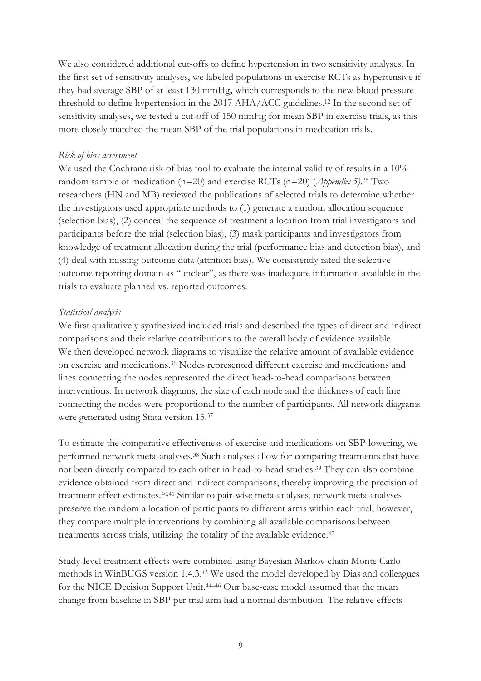We also considered additional cut-offs to define hypertension in two sensitivity analyses. In the first set of sensitivity analyses, we labeled populations in exercise RCTs as hypertensive if they had average SBP of at least 130 mmHg**,** which corresponds to the new blood pressure threshold to define hypertension in the 2017 AHA/ACC guidelines. <sup>12</sup> In the second set of sensitivity analyses, we tested a cut-off of 150 mmHg for mean SBP in exercise trials, as this more closely matched the mean SBP of the trial populations in medication trials.

# *Risk of bias assessment*

We used the Cochrane risk of bias tool to evaluate the internal validity of results in a 10% random sample of medication (n=20) and exercise RCTs (n=20) (*Appendix 5)*. <sup>35</sup> Two researchers (HN and MB) reviewed the publications of selected trials to determine whether the investigators used appropriate methods to (1) generate a random allocation sequence (selection bias), (2) conceal the sequence of treatment allocation from trial investigators and participants before the trial (selection bias), (3) mask participants and investigators from knowledge of treatment allocation during the trial (performance bias and detection bias), and (4) deal with missing outcome data (attrition bias). We consistently rated the selective outcome reporting domain as "unclear", as there was inadequate information available in the trials to evaluate planned vs. reported outcomes.

# *Statistical analysis*

We first qualitatively synthesized included trials and described the types of direct and indirect comparisons and their relative contributions to the overall body of evidence available. We then developed network diagrams to visualize the relative amount of available evidence on exercise and medications.36 Nodes represented different exercise and medications and lines connecting the nodes represented the direct head-to-head comparisons between interventions. In network diagrams, the size of each node and the thickness of each line connecting the nodes were proportional to the number of participants. All network diagrams were generated using Stata version 15.<sup>37</sup>

To estimate the comparative effectiveness of exercise and medications on SBP-lowering, we performed network meta-analyses.38 Such analyses allow for comparing treatments that have not been directly compared to each other in head-to-head studies.39 They can also combine evidence obtained from direct and indirect comparisons, thereby improving the precision of treatment effect estimates.40,41 Similar to pair-wise meta-analyses, network meta-analyses preserve the random allocation of participants to different arms within each trial, however, they compare multiple interventions by combining all available comparisons between treatments across trials, utilizing the totality of the available evidence.<sup>42</sup>

Study-level treatment effects were combined using Bayesian Markov chain Monte Carlo methods in WinBUGS version 1.4.3.43 We used the model developed by Dias and colleagues for the NICE Decision Support Unit.<sup>44-46</sup> Our base-case model assumed that the mean change from baseline in SBP per trial arm had a normal distribution. The relative effects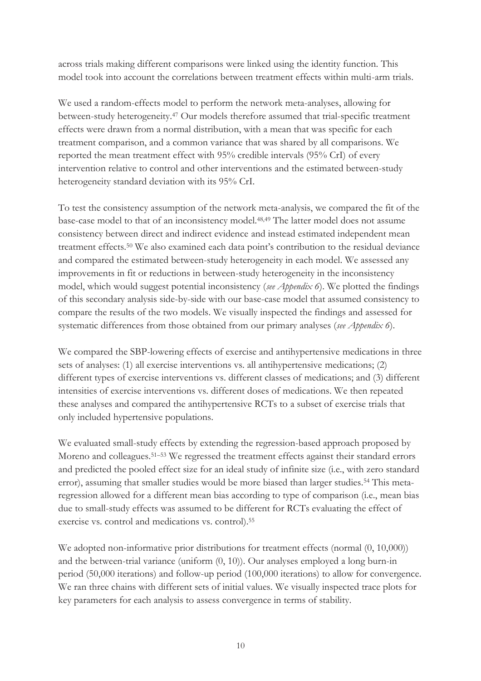across trials making different comparisons were linked using the identity function. This model took into account the correlations between treatment effects within multi-arm trials.

We used a random-effects model to perform the network meta-analyses, allowing for between-study heterogeneity.47 Our models therefore assumed that trial-specific treatment effects were drawn from a normal distribution, with a mean that was specific for each treatment comparison, and a common variance that was shared by all comparisons. We reported the mean treatment effect with 95% credible intervals (95% CrI) of every intervention relative to control and other interventions and the estimated between-study heterogeneity standard deviation with its 95% CrI.

To test the consistency assumption of the network meta-analysis, we compared the fit of the base-case model to that of an inconsistency model.48,49 The latter model does not assume consistency between direct and indirect evidence and instead estimated independent mean treatment effects.<sup>50</sup> We also examined each data point's contribution to the residual deviance and compared the estimated between-study heterogeneity in each model. We assessed any improvements in fit or reductions in between-study heterogeneity in the inconsistency model, which would suggest potential inconsistency (*see Appendix 6*). We plotted the findings of this secondary analysis side-by-side with our base-case model that assumed consistency to compare the results of the two models. We visually inspected the findings and assessed for systematic differences from those obtained from our primary analyses (*see Appendix 6*).

We compared the SBP-lowering effects of exercise and antihypertensive medications in three sets of analyses: (1) all exercise interventions vs. all antihypertensive medications; (2) different types of exercise interventions vs. different classes of medications; and (3) different intensities of exercise interventions vs. different doses of medications. We then repeated these analyses and compared the antihypertensive RCTs to a subset of exercise trials that only included hypertensive populations.

We evaluated small-study effects by extending the regression-based approach proposed by Moreno and colleagues.<sup>51–53</sup> We regressed the treatment effects against their standard errors and predicted the pooled effect size for an ideal study of infinite size (i.e., with zero standard error), assuming that smaller studies would be more biased than larger studies.<sup>54</sup> This metaregression allowed for a different mean bias according to type of comparison (i.e., mean bias due to small-study effects was assumed to be different for RCTs evaluating the effect of exercise vs. control and medications vs. control).<sup>55</sup>

We adopted non-informative prior distributions for treatment effects (normal  $(0, 10,000)$ ) and the between-trial variance (uniform (0, 10)). Our analyses employed a long burn-in period (50,000 iterations) and follow-up period (100,000 iterations) to allow for convergence. We ran three chains with different sets of initial values. We visually inspected trace plots for key parameters for each analysis to assess convergence in terms of stability.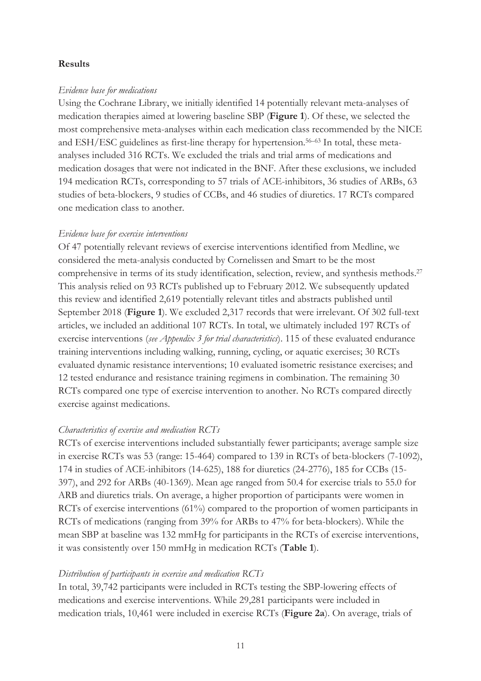#### **Results**

#### *Evidence base for medications*

Using the Cochrane Library, we initially identified 14 potentially relevant meta-analyses of medication therapies aimed at lowering baseline SBP (**Figure 1**). Of these, we selected the most comprehensive meta-analyses within each medication class recommended by the NICE and ESH/ESC guidelines as first-line therapy for hypertension.56–63 In total, these metaanalyses included 316 RCTs. We excluded the trials and trial arms of medications and medication dosages that were not indicated in the BNF. After these exclusions, we included 194 medication RCTs, corresponding to 57 trials of ACE-inhibitors, 36 studies of ARBs, 63 studies of beta-blockers, 9 studies of CCBs, and 46 studies of diuretics. 17 RCTs compared one medication class to another.

#### *Evidence base for exercise interventions*

Of 47 potentially relevant reviews of exercise interventions identified from Medline, we considered the meta-analysis conducted by Cornelissen and Smart to be the most comprehensive in terms of its study identification, selection, review, and synthesis methods.<sup>27</sup> This analysis relied on 93 RCTs published up to February 2012. We subsequently updated this review and identified 2,619 potentially relevant titles and abstracts published until September 2018 (**Figure 1**). We excluded 2,317 records that were irrelevant. Of 302 full-text articles, we included an additional 107 RCTs. In total, we ultimately included 197 RCTs of exercise interventions (*see Appendix 3 for trial characteristics*). 115 of these evaluated endurance training interventions including walking, running, cycling, or aquatic exercises; 30 RCTs evaluated dynamic resistance interventions; 10 evaluated isometric resistance exercises; and 12 tested endurance and resistance training regimens in combination. The remaining 30 RCTs compared one type of exercise intervention to another. No RCTs compared directly exercise against medications.

#### *Characteristics of exercise and medication RCTs*

RCTs of exercise interventions included substantially fewer participants; average sample size in exercise RCTs was 53 (range: 15-464) compared to 139 in RCTs of beta-blockers (7-1092), 174 in studies of ACE-inhibitors (14-625), 188 for diuretics (24-2776), 185 for CCBs (15- 397), and 292 for ARBs (40-1369). Mean age ranged from 50.4 for exercise trials to 55.0 for ARB and diuretics trials. On average, a higher proportion of participants were women in RCTs of exercise interventions (61%) compared to the proportion of women participants in RCTs of medications (ranging from 39% for ARBs to 47% for beta-blockers). While the mean SBP at baseline was 132 mmHg for participants in the RCTs of exercise interventions, it was consistently over 150 mmHg in medication RCTs (**Table 1**).

#### *Distribution of participants in exercise and medication RCTs*

In total, 39,742 participants were included in RCTs testing the SBP-lowering effects of medications and exercise interventions. While 29,281 participants were included in medication trials, 10,461 were included in exercise RCTs (**Figure 2a**). On average, trials of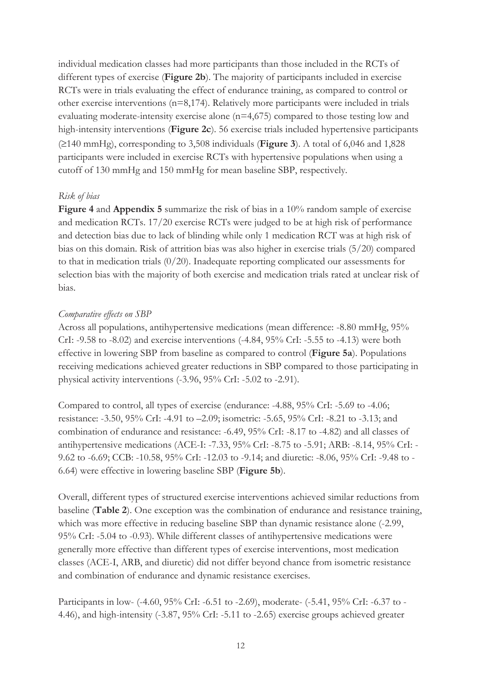individual medication classes had more participants than those included in the RCTs of different types of exercise (**Figure 2b**). The majority of participants included in exercise RCTs were in trials evaluating the effect of endurance training, as compared to control or other exercise interventions (n=8,174). Relatively more participants were included in trials evaluating moderate-intensity exercise alone (n=4,675) compared to those testing low and high-intensity interventions (**Figure 2c**). 56 exercise trials included hypertensive participants (³140 mmHg), corresponding to 3,508 individuals (**Figure 3**). A total of 6,046 and 1,828 participants were included in exercise RCTs with hypertensive populations when using a cutoff of 130 mmHg and 150 mmHg for mean baseline SBP, respectively.

# *Risk of bias*

**Figure 4** and **Appendix 5** summarize the risk of bias in a 10% random sample of exercise and medication RCTs. 17/20 exercise RCTs were judged to be at high risk of performance and detection bias due to lack of blinding while only 1 medication RCT was at high risk of bias on this domain. Risk of attrition bias was also higher in exercise trials (5/20) compared to that in medication trials (0/20). Inadequate reporting complicated our assessments for selection bias with the majority of both exercise and medication trials rated at unclear risk of bias.

# *Comparative effects on SBP*

Across all populations, antihypertensive medications (mean difference: -8.80 mmHg, 95% CrI: -9.58 to -8.02) and exercise interventions (-4.84, 95% CrI: -5.55 to -4.13) were both effective in lowering SBP from baseline as compared to control (**Figure 5a**). Populations receiving medications achieved greater reductions in SBP compared to those participating in physical activity interventions (-3.96, 95% CrI: -5.02 to -2.91).

Compared to control, all types of exercise (endurance: -4.88, 95% CrI: -5.69 to -4.06; resistance: -3.50, 95% CrI: -4.91 to –2.09; isometric: -5.65, 95% CrI: -8.21 to -3.13; and combination of endurance and resistance: -6.49, 95% CrI: -8.17 to -4.82) and all classes of antihypertensive medications (ACE-I: -7.33, 95% CrI: -8.75 to -5.91; ARB: -8.14, 95% CrI: - 9.62 to -6.69; CCB: -10.58, 95% CrI: -12.03 to -9.14; and diuretic: -8.06, 95% CrI: -9.48 to - 6.64) were effective in lowering baseline SBP (**Figure 5b**).

Overall, different types of structured exercise interventions achieved similar reductions from baseline (**Table 2**). One exception was the combination of endurance and resistance training, which was more effective in reducing baseline SBP than dynamic resistance alone  $(-2.99,$ 95% CrI: -5.04 to -0.93). While different classes of antihypertensive medications were generally more effective than different types of exercise interventions, most medication classes (ACE-I, ARB, and diuretic) did not differ beyond chance from isometric resistance and combination of endurance and dynamic resistance exercises.

Participants in low- (-4.60, 95% CrI: -6.51 to -2.69), moderate- (-5.41, 95% CrI: -6.37 to - 4.46), and high-intensity (-3.87, 95% CrI: -5.11 to -2.65) exercise groups achieved greater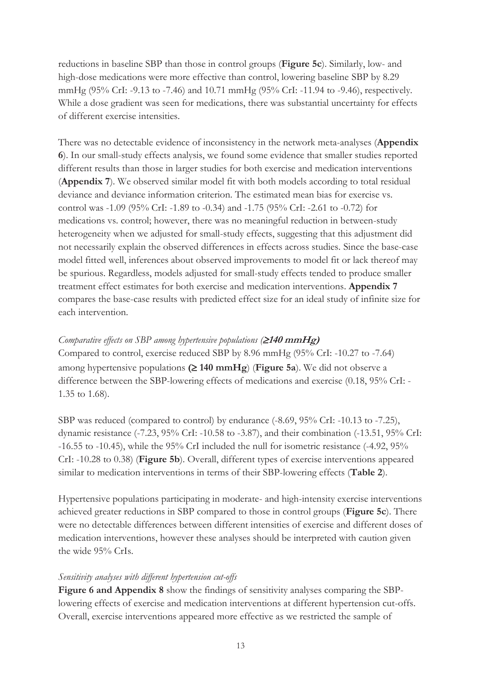reductions in baseline SBP than those in control groups (**Figure 5c**). Similarly, low- and high-dose medications were more effective than control, lowering baseline SBP by 8.29 mmHg (95% CrI: -9.13 to -7.46) and 10.71 mmHg (95% CrI: -11.94 to -9.46), respectively. While a dose gradient was seen for medications, there was substantial uncertainty for effects of different exercise intensities.

There was no detectable evidence of inconsistency in the network meta-analyses (**Appendix 6**). In our small-study effects analysis, we found some evidence that smaller studies reported different results than those in larger studies for both exercise and medication interventions (**Appendix 7**). We observed similar model fit with both models according to total residual deviance and deviance information criterion. The estimated mean bias for exercise vs. control was -1.09 (95% CrI: -1.89 to -0.34) and -1.75 (95% CrI: -2.61 to -0.72) for medications vs. control; however, there was no meaningful reduction in between-study heterogeneity when we adjusted for small-study effects, suggesting that this adjustment did not necessarily explain the observed differences in effects across studies. Since the base-case model fitted well, inferences about observed improvements to model fit or lack thereof may be spurious. Regardless, models adjusted for small-study effects tended to produce smaller treatment effect estimates for both exercise and medication interventions. **Appendix 7**  compares the base-case results with predicted effect size for an ideal study of infinite size for each intervention.

# *Comparative effects on SBP among hypertensive populations (* $\geq$ *140 mmHg)*

Compared to control, exercise reduced SBP by 8.96 mmHg (95% CrI: -10.27 to -7.64) among hypertensive populations  $(≥ 140 \text{ mmHg})$  (**Figure 5a**). We did not observe a difference between the SBP-lowering effects of medications and exercise (0.18, 95% CrI: - 1.35 to 1.68).

SBP was reduced (compared to control) by endurance  $(-8.69, 95\% \text{ CrI}: -10.13 \text{ to } -7.25)$ , dynamic resistance (-7.23, 95% CrI: -10.58 to -3.87), and their combination (-13.51, 95% CrI: -16.55 to -10.45), while the 95% CrI included the null for isometric resistance (-4.92, 95% CrI: -10.28 to 0.38) (**Figure 5b**). Overall, different types of exercise interventions appeared similar to medication interventions in terms of their SBP-lowering effects (**Table 2**).

Hypertensive populations participating in moderate- and high-intensity exercise interventions achieved greater reductions in SBP compared to those in control groups (**Figure 5c**). There were no detectable differences between different intensities of exercise and different doses of medication interventions, however these analyses should be interpreted with caution given the wide 95% CrIs.

#### *Sensitivity analyses with different hypertension cut-offs*

**Figure 6 and Appendix 8** show the findings of sensitivity analyses comparing the SBPlowering effects of exercise and medication interventions at different hypertension cut-offs. Overall, exercise interventions appeared more effective as we restricted the sample of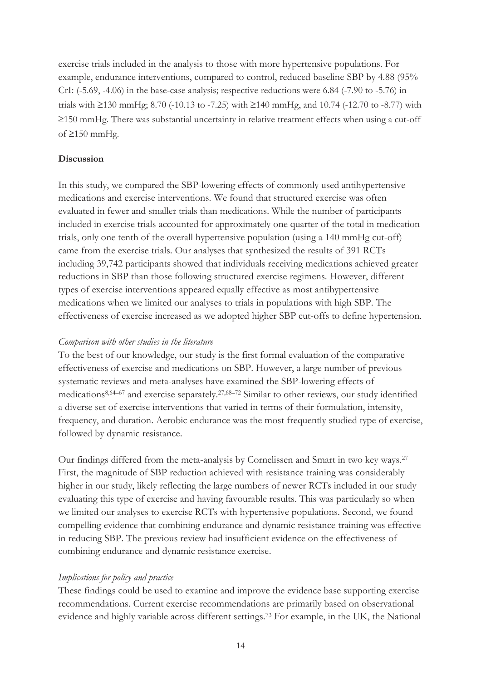exercise trials included in the analysis to those with more hypertensive populations. For example, endurance interventions, compared to control, reduced baseline SBP by 4.88 (95% CrI: (-5.69, -4.06) in the base-case analysis; respective reductions were 6.84 (-7.90 to -5.76) in trials with  $\geq$ 130 mmHg; 8.70 (-10.13 to -7.25) with  $\geq$ 140 mmHg, and 10.74 (-12.70 to -8.77) with  $\geq$ 150 mmHg. There was substantial uncertainty in relative treatment effects when using a cut-off of  $\geq$ 150 mmHg.

#### **Discussion**

In this study, we compared the SBP-lowering effects of commonly used antihypertensive medications and exercise interventions. We found that structured exercise was often evaluated in fewer and smaller trials than medications. While the number of participants included in exercise trials accounted for approximately one quarter of the total in medication trials, only one tenth of the overall hypertensive population (using a 140 mmHg cut-off) came from the exercise trials. Our analyses that synthesized the results of 391 RCTs including 39,742 participants showed that individuals receiving medications achieved greater reductions in SBP than those following structured exercise regimens. However, different types of exercise interventions appeared equally effective as most antihypertensive medications when we limited our analyses to trials in populations with high SBP. The effectiveness of exercise increased as we adopted higher SBP cut-offs to define hypertension.

#### *Comparison with other studies in the literature*

To the best of our knowledge, our study is the first formal evaluation of the comparative effectiveness of exercise and medications on SBP. However, a large number of previous systematic reviews and meta-analyses have examined the SBP-lowering effects of medications8,64–<sup>67</sup> and exercise separately.27,68–<sup>72</sup> Similar to other reviews, our study identified a diverse set of exercise interventions that varied in terms of their formulation, intensity, frequency, and duration. Aerobic endurance was the most frequently studied type of exercise, followed by dynamic resistance.

Our findings differed from the meta-analysis by Cornelissen and Smart in two key ways.<sup>27</sup> First, the magnitude of SBP reduction achieved with resistance training was considerably higher in our study, likely reflecting the large numbers of newer RCTs included in our study evaluating this type of exercise and having favourable results. This was particularly so when we limited our analyses to exercise RCTs with hypertensive populations. Second, we found compelling evidence that combining endurance and dynamic resistance training was effective in reducing SBP. The previous review had insufficient evidence on the effectiveness of combining endurance and dynamic resistance exercise.

#### *Implications for policy and practice*

These findings could be used to examine and improve the evidence base supporting exercise recommendations. Current exercise recommendations are primarily based on observational evidence and highly variable across different settings.73 For example, in the UK, the National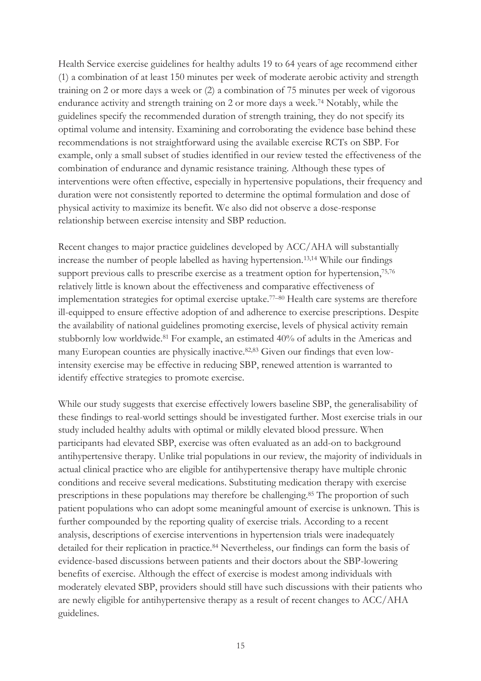Health Service exercise guidelines for healthy adults 19 to 64 years of age recommend either (1) a combination of at least 150 minutes per week of moderate aerobic activity and strength training on 2 or more days a week or (2) a combination of 75 minutes per week of vigorous endurance activity and strength training on 2 or more days a week.74 Notably, while the guidelines specify the recommended duration of strength training, they do not specify its optimal volume and intensity. Examining and corroborating the evidence base behind these recommendations is not straightforward using the available exercise RCTs on SBP. For example, only a small subset of studies identified in our review tested the effectiveness of the combination of endurance and dynamic resistance training. Although these types of interventions were often effective, especially in hypertensive populations, their frequency and duration were not consistently reported to determine the optimal formulation and dose of physical activity to maximize its benefit. We also did not observe a dose-response relationship between exercise intensity and SBP reduction.

Recent changes to major practice guidelines developed by ACC/AHA will substantially increase the number of people labelled as having hypertension.13,14 While our findings support previous calls to prescribe exercise as a treatment option for hypertension,<sup>75,76</sup> relatively little is known about the effectiveness and comparative effectiveness of implementation strategies for optimal exercise uptake.<sup>77</sup>–<sup>80</sup> Health care systems are therefore ill-equipped to ensure effective adoption of and adherence to exercise prescriptions. Despite the availability of national guidelines promoting exercise, levels of physical activity remain stubbornly low worldwide.81 For example, an estimated 40% of adults in the Americas and many European counties are physically inactive.82,83 Given our findings that even lowintensity exercise may be effective in reducing SBP, renewed attention is warranted to identify effective strategies to promote exercise.

While our study suggests that exercise effectively lowers baseline SBP, the generalisability of these findings to real-world settings should be investigated further. Most exercise trials in our study included healthy adults with optimal or mildly elevated blood pressure. When participants had elevated SBP, exercise was often evaluated as an add-on to background antihypertensive therapy. Unlike trial populations in our review, the majority of individuals in actual clinical practice who are eligible for antihypertensive therapy have multiple chronic conditions and receive several medications. Substituting medication therapy with exercise prescriptions in these populations may therefore be challenging.85 The proportion of such patient populations who can adopt some meaningful amount of exercise is unknown. This is further compounded by the reporting quality of exercise trials. According to a recent analysis, descriptions of exercise interventions in hypertension trials were inadequately detailed for their replication in practice.<sup>84</sup> Nevertheless, our findings can form the basis of evidence-based discussions between patients and their doctors about the SBP-lowering benefits of exercise. Although the effect of exercise is modest among individuals with moderately elevated SBP, providers should still have such discussions with their patients who are newly eligible for antihypertensive therapy as a result of recent changes to ACC/AHA guidelines.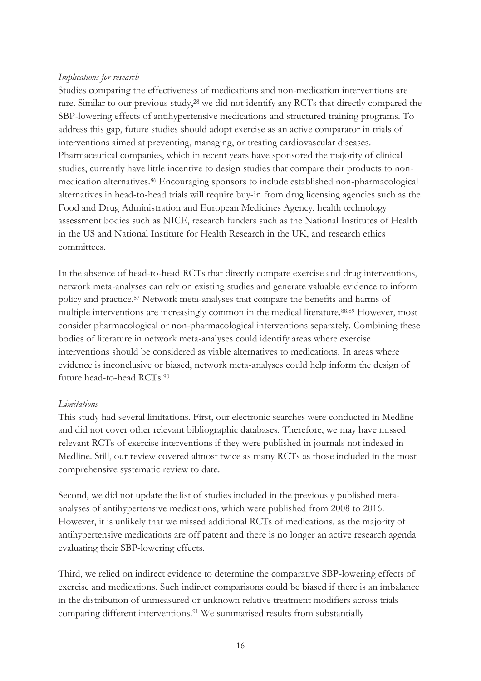#### *Implications for research*

Studies comparing the effectiveness of medications and non-medication interventions are rare. Similar to our previous study,<sup>28</sup> we did not identify any RCTs that directly compared the SBP-lowering effects of antihypertensive medications and structured training programs. To address this gap, future studies should adopt exercise as an active comparator in trials of interventions aimed at preventing, managing, or treating cardiovascular diseases. Pharmaceutical companies, which in recent years have sponsored the majority of clinical studies, currently have little incentive to design studies that compare their products to nonmedication alternatives.86 Encouraging sponsors to include established non-pharmacological alternatives in head-to-head trials will require buy-in from drug licensing agencies such as the Food and Drug Administration and European Medicines Agency, health technology assessment bodies such as NICE, research funders such as the National Institutes of Health in the US and National Institute for Health Research in the UK, and research ethics committees.

In the absence of head-to-head RCTs that directly compare exercise and drug interventions, network meta-analyses can rely on existing studies and generate valuable evidence to inform policy and practice.87 Network meta-analyses that compare the benefits and harms of multiple interventions are increasingly common in the medical literature.<sup>88,89</sup> However, most consider pharmacological or non-pharmacological interventions separately. Combining these bodies of literature in network meta-analyses could identify areas where exercise interventions should be considered as viable alternatives to medications. In areas where evidence is inconclusive or biased, network meta-analyses could help inform the design of future head-to-head RCTs.<sup>90</sup>

#### *Limitations*

This study had several limitations. First, our electronic searches were conducted in Medline and did not cover other relevant bibliographic databases. Therefore, we may have missed relevant RCTs of exercise interventions if they were published in journals not indexed in Medline. Still, our review covered almost twice as many RCTs as those included in the most comprehensive systematic review to date.

Second, we did not update the list of studies included in the previously published metaanalyses of antihypertensive medications, which were published from 2008 to 2016. However, it is unlikely that we missed additional RCTs of medications, as the majority of antihypertensive medications are off patent and there is no longer an active research agenda evaluating their SBP-lowering effects.

Third, we relied on indirect evidence to determine the comparative SBP-lowering effects of exercise and medications. Such indirect comparisons could be biased if there is an imbalance in the distribution of unmeasured or unknown relative treatment modifiers across trials comparing different interventions.91 We summarised results from substantially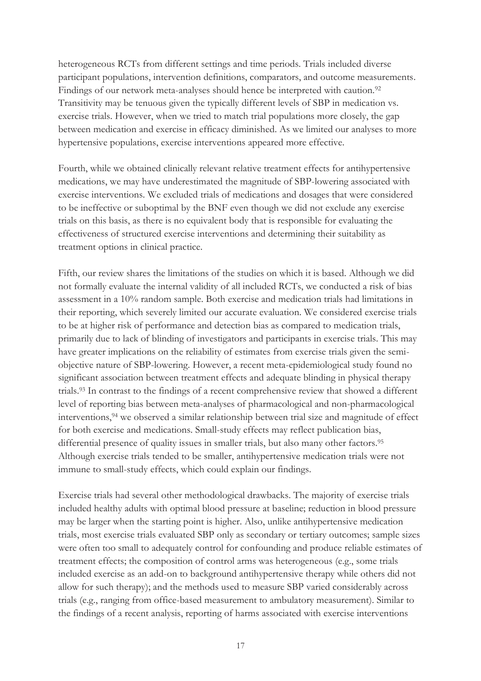heterogeneous RCTs from different settings and time periods. Trials included diverse participant populations, intervention definitions, comparators, and outcome measurements. Findings of our network meta-analyses should hence be interpreted with caution.<sup>92</sup> Transitivity may be tenuous given the typically different levels of SBP in medication vs. exercise trials. However, when we tried to match trial populations more closely, the gap between medication and exercise in efficacy diminished. As we limited our analyses to more hypertensive populations, exercise interventions appeared more effective.

Fourth, while we obtained clinically relevant relative treatment effects for antihypertensive medications, we may have underestimated the magnitude of SBP-lowering associated with exercise interventions. We excluded trials of medications and dosages that were considered to be ineffective or suboptimal by the BNF even though we did not exclude any exercise trials on this basis, as there is no equivalent body that is responsible for evaluating the effectiveness of structured exercise interventions and determining their suitability as treatment options in clinical practice.

Fifth, our review shares the limitations of the studies on which it is based. Although we did not formally evaluate the internal validity of all included RCTs, we conducted a risk of bias assessment in a 10% random sample. Both exercise and medication trials had limitations in their reporting, which severely limited our accurate evaluation. We considered exercise trials to be at higher risk of performance and detection bias as compared to medication trials, primarily due to lack of blinding of investigators and participants in exercise trials. This may have greater implications on the reliability of estimates from exercise trials given the semiobjective nature of SBP-lowering. However, a recent meta-epidemiological study found no significant association between treatment effects and adequate blinding in physical therapy trials.93 In contrast to the findings of a recent comprehensive review that showed a different level of reporting bias between meta-analyses of pharmacological and non-pharmacological interventions,94 we observed a similar relationship between trial size and magnitude of effect for both exercise and medications. Small-study effects may reflect publication bias, differential presence of quality issues in smaller trials, but also many other factors.<sup>95</sup> Although exercise trials tended to be smaller, antihypertensive medication trials were not immune to small-study effects, which could explain our findings.

Exercise trials had several other methodological drawbacks. The majority of exercise trials included healthy adults with optimal blood pressure at baseline; reduction in blood pressure may be larger when the starting point is higher. Also, unlike antihypertensive medication trials, most exercise trials evaluated SBP only as secondary or tertiary outcomes; sample sizes were often too small to adequately control for confounding and produce reliable estimates of treatment effects; the composition of control arms was heterogeneous (e.g., some trials included exercise as an add-on to background antihypertensive therapy while others did not allow for such therapy); and the methods used to measure SBP varied considerably across trials (e.g., ranging from office-based measurement to ambulatory measurement). Similar to the findings of a recent analysis, reporting of harms associated with exercise interventions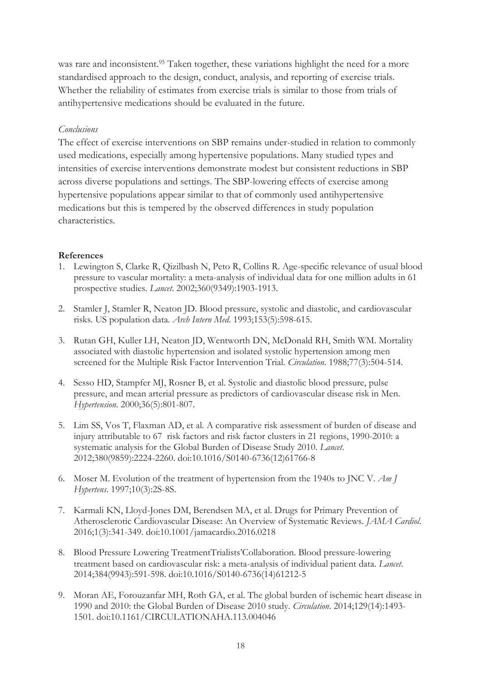was rare and inconsistent.<sup>95</sup> Taken together, these variations highlight the need for a more standardised approach to the design, conduct, analysis, and reporting of exercise trials. Whether the reliability of estimates from exercise trials is similar to those from trials of antihypertensive medications should be evaluated in the future.

# *Conclusions*

The effect of exercise interventions on SBP remains under-studied in relation to commonly used medications, especially among hypertensive populations. Many studied types and intensities of exercise interventions demonstrate modest but consistent reductions in SBP across diverse populations and settings. The SBP-lowering effects of exercise among hypertensive populations appear similar to that of commonly used antihypertensive medications but this is tempered by the observed differences in study population characteristics.

# **References**

- 1. Lewington S, Clarke R, Qizilbash N, Peto R, Collins R. Age-specific relevance of usual blood pressure to vascular mortality: a meta-analysis of individual data for one million adults in 61 prospective studies. *Lancet*. 2002;360(9349):1903-1913.
- 2. Stamler J, Stamler R, Neaton JD. Blood pressure, systolic and diastolic, and cardiovascular risks. US population data. *Arch Intern Med*. 1993;153(5):598-615.
- 3. Rutan GH, Kuller LH, Neaton JD, Wentworth DN, McDonald RH, Smith WM. Mortality associated with diastolic hypertension and isolated systolic hypertension among men screened for the Multiple Risk Factor Intervention Trial. *Circulation*. 1988;77(3):504-514.
- 4. Sesso HD, Stampfer MJ, Rosner B, et al. Systolic and diastolic blood pressure, pulse pressure, and mean arterial pressure as predictors of cardiovascular disease risk in Men. *Hypertension*. 2000;36(5):801-807.
- 5. Lim SS, Vos T, Flaxman AD, et al. A comparative risk assessment of burden of disease and injury attributable to 67 risk factors and risk factor clusters in 21 regions, 1990-2010: a systematic analysis for the Global Burden of Disease Study 2010. *Lancet*. 2012;380(9859):2224-2260. doi:10.1016/S0140-6736(12)61766-8
- 6. Moser M. Evolution of the treatment of hypertension from the 1940s to JNC V. *Am J Hypertens*. 1997;10(3):2S-8S.
- 7. Karmali KN, Lloyd-Jones DM, Berendsen MA, et al. Drugs for Primary Prevention of Atherosclerotic Cardiovascular Disease: An Overview of Systematic Reviews. *JAMA Cardiol*. 2016;1(3):341-349. doi:10.1001/jamacardio.2016.0218
- 8. Blood Pressure Lowering TreatmentTrialists'Collaboration. Blood pressure-lowering treatment based on cardiovascular risk: a meta-analysis of individual patient data. *Lancet*. 2014;384(9943):591-598. doi:10.1016/S0140-6736(14)61212-5
- 9. Moran AE, Forouzanfar MH, Roth GA, et al. The global burden of ischemic heart disease in 1990 and 2010: the Global Burden of Disease 2010 study. *Circulation*. 2014;129(14):1493- 1501. doi:10.1161/CIRCULATIONAHA.113.004046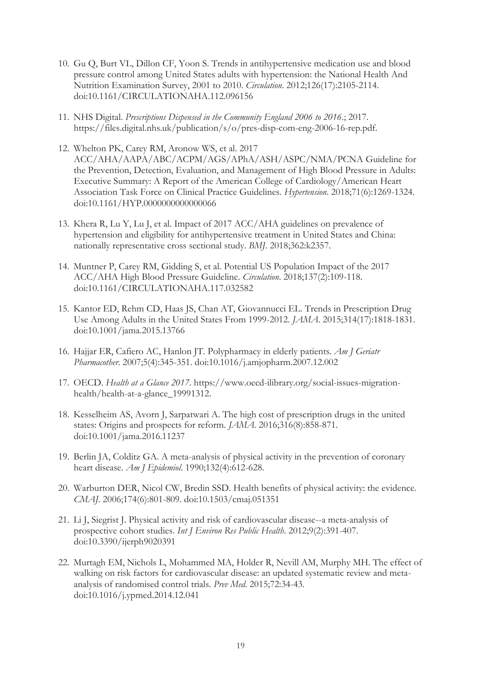- 10. Gu Q, Burt VL, Dillon CF, Yoon S. Trends in antihypertensive medication use and blood pressure control among United States adults with hypertension: the National Health And Nutrition Examination Survey, 2001 to 2010. *Circulation*. 2012;126(17):2105-2114. doi:10.1161/CIRCULATIONAHA.112.096156
- 11. NHS Digital. *Prescriptions Dispensed in the Community England 2006 to 2016*.; 2017. https://files.digital.nhs.uk/publication/s/o/pres-disp-com-eng-2006-16-rep.pdf.
- 12. Whelton PK, Carey RM, Aronow WS, et al. 2017 ACC/AHA/AAPA/ABC/ACPM/AGS/APhA/ASH/ASPC/NMA/PCNA Guideline for the Prevention, Detection, Evaluation, and Management of High Blood Pressure in Adults: Executive Summary: A Report of the American College of Cardiology/American Heart Association Task Force on Clinical Practice Guidelines. *Hypertension*. 2018;71(6):1269-1324. doi:10.1161/HYP.0000000000000066
- 13. Khera R, Lu Y, Lu J, et al. Impact of 2017 ACC/AHA guidelines on prevalence of hypertension and eligibility for antihypertensive treatment in United States and China: nationally representative cross sectional study. *BMJ*. 2018;362:k2357.
- 14. Muntner P, Carey RM, Gidding S, et al. Potential US Population Impact of the 2017 ACC/AHA High Blood Pressure Guideline. *Circulation*. 2018;137(2):109-118. doi:10.1161/CIRCULATIONAHA.117.032582
- 15. Kantor ED, Rehm CD, Haas JS, Chan AT, Giovannucci EL. Trends in Prescription Drug Use Among Adults in the United States From 1999-2012. *JAMA*. 2015;314(17):1818-1831. doi:10.1001/jama.2015.13766
- 16. Hajjar ER, Cafiero AC, Hanlon JT. Polypharmacy in elderly patients. *Am J Geriatr Pharmacother*. 2007;5(4):345-351. doi:10.1016/j.amjopharm.2007.12.002
- 17. OECD. *Health at a Glance 2017*. https://www.oecd-ilibrary.org/social-issues-migrationhealth/health-at-a-glance\_19991312.
- 18. Kesselheim AS, Avorn J, Sarpatwari A. The high cost of prescription drugs in the united states: Origins and prospects for reform. *JAMA*. 2016;316(8):858-871. doi:10.1001/jama.2016.11237
- 19. Berlin JA, Colditz GA. A meta-analysis of physical activity in the prevention of coronary heart disease. *Am J Epidemiol*. 1990;132(4):612-628.
- 20. Warburton DER, Nicol CW, Bredin SSD. Health benefits of physical activity: the evidence. *CMAJ*. 2006;174(6):801-809. doi:10.1503/cmaj.051351
- 21. Li J, Siegrist J. Physical activity and risk of cardiovascular disease--a meta-analysis of prospective cohort studies. *Int J Environ Res Public Health*. 2012;9(2):391-407. doi:10.3390/ijerph9020391
- 22. Murtagh EM, Nichols L, Mohammed MA, Holder R, Nevill AM, Murphy MH. The effect of walking on risk factors for cardiovascular disease: an updated systematic review and metaanalysis of randomised control trials. *Prev Med*. 2015;72:34-43. doi:10.1016/j.ypmed.2014.12.041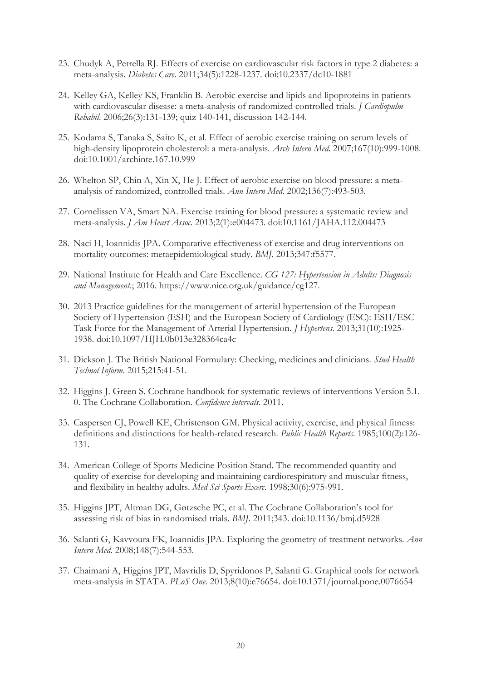- 23. Chudyk A, Petrella RJ. Effects of exercise on cardiovascular risk factors in type 2 diabetes: a meta-analysis. *Diabetes Care*. 2011;34(5):1228-1237. doi:10.2337/dc10-1881
- 24. Kelley GA, Kelley KS, Franklin B. Aerobic exercise and lipids and lipoproteins in patients with cardiovascular disease: a meta-analysis of randomized controlled trials. *J Cardiopulm Rehabil*. 2006;26(3):131-139; quiz 140-141, discussion 142-144.
- 25. Kodama S, Tanaka S, Saito K, et al. Effect of aerobic exercise training on serum levels of high-density lipoprotein cholesterol: a meta-analysis. *Arch Intern Med*. 2007;167(10):999-1008. doi:10.1001/archinte.167.10.999
- 26. Whelton SP, Chin A, Xin X, He J. Effect of aerobic exercise on blood pressure: a metaanalysis of randomized, controlled trials. *Ann Intern Med*. 2002;136(7):493-503.
- 27. Cornelissen VA, Smart NA. Exercise training for blood pressure: a systematic review and meta-analysis. *J Am Heart Assoc*. 2013;2(1):e004473. doi:10.1161/JAHA.112.004473
- 28. Naci H, Ioannidis JPA. Comparative effectiveness of exercise and drug interventions on mortality outcomes: metaepidemiological study. *BMJ*. 2013;347:f5577.
- 29. National Institute for Health and Care Excellence. *CG 127: Hypertension in Adults: Diagnosis and Management*.; 2016. https://www.nice.org.uk/guidance/cg127.
- 30. 2013 Practice guidelines for the management of arterial hypertension of the European Society of Hypertension (ESH) and the European Society of Cardiology (ESC): ESH/ESC Task Force for the Management of Arterial Hypertension. *J Hypertens*. 2013;31(10):1925- 1938. doi:10.1097/HJH.0b013e328364ca4c
- 31. Dickson J. The British National Formulary: Checking, medicines and clinicians. *Stud Health Technol Inform*. 2015;215:41-51.
- 32. Higgins J. Green S. Cochrane handbook for systematic reviews of interventions Version 5.1. 0. The Cochrane Collaboration. *Confidence intervals*. 2011.
- 33. Caspersen CJ, Powell KE, Christenson GM. Physical activity, exercise, and physical fitness: definitions and distinctions for health-related research. *Public Health Reports*. 1985;100(2):126- 131.
- 34. American College of Sports Medicine Position Stand. The recommended quantity and quality of exercise for developing and maintaining cardiorespiratory and muscular fitness, and flexibility in healthy adults. *Med Sci Sports Exerc*. 1998;30(6):975-991.
- 35. Higgins JPT, Altman DG, Gøtzsche PC, et al. The Cochrane Collaboration's tool for assessing risk of bias in randomised trials. *BMJ*. 2011;343. doi:10.1136/bmj.d5928
- 36. Salanti G, Kavvoura FK, Ioannidis JPA. Exploring the geometry of treatment networks. *Ann Intern Med*. 2008;148(7):544-553.
- 37. Chaimani A, Higgins JPT, Mavridis D, Spyridonos P, Salanti G. Graphical tools for network meta-analysis in STATA. *PLoS One*. 2013;8(10):e76654. doi:10.1371/journal.pone.0076654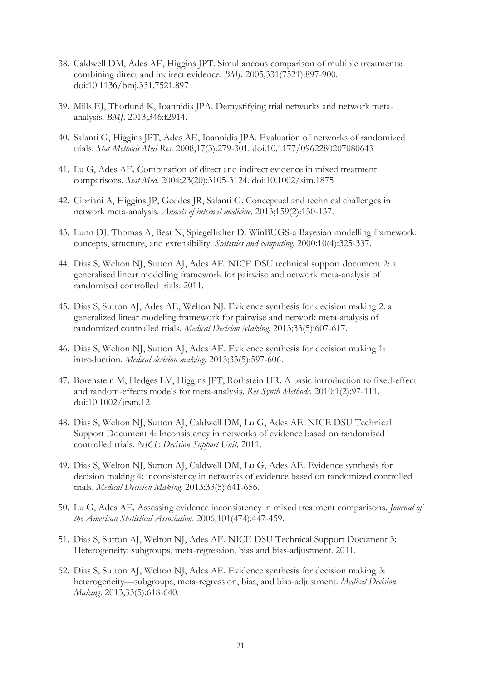- 38. Caldwell DM, Ades AE, Higgins JPT. Simultaneous comparison of multiple treatments: combining direct and indirect evidence. *BMJ*. 2005;331(7521):897-900. doi:10.1136/bmj.331.7521.897
- 39. Mills EJ, Thorlund K, Ioannidis JPA. Demystifying trial networks and network metaanalysis. *BMJ*. 2013;346:f2914.
- 40. Salanti G, Higgins JPT, Ades AE, Ioannidis JPA. Evaluation of networks of randomized trials. *Stat Methods Med Res*. 2008;17(3):279-301. doi:10.1177/0962280207080643
- 41. Lu G, Ades AE. Combination of direct and indirect evidence in mixed treatment comparisons. *Stat Med*. 2004;23(20):3105-3124. doi:10.1002/sim.1875
- 42. Cipriani A, Higgins JP, Geddes JR, Salanti G. Conceptual and technical challenges in network meta-analysis. *Annals of internal medicine*. 2013;159(2):130-137.
- 43. Lunn DJ, Thomas A, Best N, Spiegelhalter D. WinBUGS-a Bayesian modelling framework: concepts, structure, and extensibility. *Statistics and computing*. 2000;10(4):325-337.
- 44. Dias S, Welton NJ, Sutton AJ, Ades AE. NICE DSU technical support document 2: a generalised linear modelling framework for pairwise and network meta-analysis of randomised controlled trials. 2011.
- 45. Dias S, Sutton AJ, Ades AE, Welton NJ. Evidence synthesis for decision making 2: a generalized linear modeling framework for pairwise and network meta-analysis of randomized controlled trials. *Medical Decision Making*. 2013;33(5):607-617.
- 46. Dias S, Welton NJ, Sutton AJ, Ades AE. Evidence synthesis for decision making 1: introduction. *Medical decision making*. 2013;33(5):597-606.
- 47. Borenstein M, Hedges LV, Higgins JPT, Rothstein HR. A basic introduction to fixed-effect and random-effects models for meta-analysis. *Res Synth Methods*. 2010;1(2):97-111. doi:10.1002/jrsm.12
- 48. Dias S, Welton NJ, Sutton AJ, Caldwell DM, Lu G, Ades AE. NICE DSU Technical Support Document 4: Inconsistency in networks of evidence based on randomised controlled trials. *NICE Decision Support Unit*. 2011.
- 49. Dias S, Welton NJ, Sutton AJ, Caldwell DM, Lu G, Ades AE. Evidence synthesis for decision making 4: inconsistency in networks of evidence based on randomized controlled trials. *Medical Decision Making*. 2013;33(5):641-656.
- 50. Lu G, Ades AE. Assessing evidence inconsistency in mixed treatment comparisons. *Journal of the American Statistical Association*. 2006;101(474):447-459.
- 51. Dias S, Sutton AJ, Welton NJ, Ades AE. NICE DSU Technical Support Document 3: Heterogeneity: subgroups, meta-regression, bias and bias-adjustment. 2011.
- 52. Dias S, Sutton AJ, Welton NJ, Ades AE. Evidence synthesis for decision making 3: heterogeneity—subgroups, meta-regression, bias, and bias-adjustment. *Medical Decision Making*. 2013;33(5):618-640.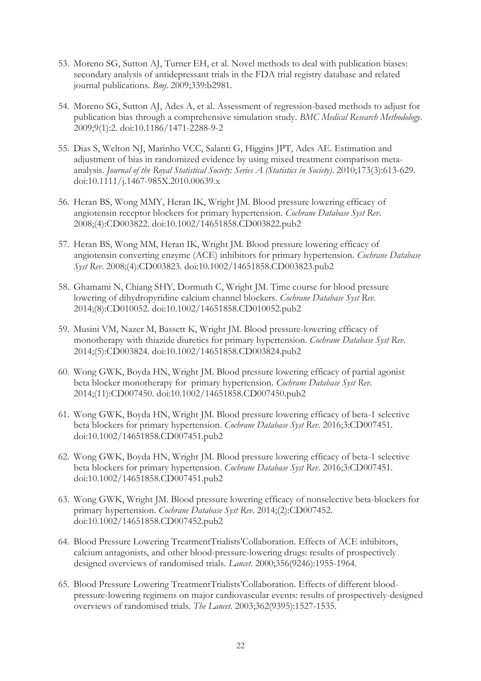- 53. Moreno SG, Sutton AJ, Turner EH, et al. Novel methods to deal with publication biases: secondary analysis of antidepressant trials in the FDA trial registry database and related journal publications. *Bmj*. 2009;339:b2981.
- 54. Moreno SG, Sutton AJ, Ades A, et al. Assessment of regression-based methods to adjust for publication bias through a comprehensive simulation study. *BMC Medical Research Methodology*. 2009;9(1):2. doi:10.1186/1471-2288-9-2
- 55. Dias S, Welton NJ, Marinho VCC, Salanti G, Higgins JPT, Ades AE. Estimation and adjustment of bias in randomized evidence by using mixed treatment comparison metaanalysis. *Journal of the Royal Statistical Society: Series A (Statistics in Society)*. 2010;173(3):613-629. doi:10.1111/j.1467-985X.2010.00639.x
- 56. Heran BS, Wong MMY, Heran IK, Wright JM. Blood pressure lowering efficacy of angiotensin receptor blockers for primary hypertension. *Cochrane Database Syst Rev*. 2008;(4):CD003822. doi:10.1002/14651858.CD003822.pub2
- 57. Heran BS, Wong MM, Heran IK, Wright JM. Blood pressure lowering efficacy of angiotensin converting enzyme (ACE) inhibitors for primary hypertension. *Cochrane Database Syst Rev*. 2008;(4):CD003823. doi:10.1002/14651858.CD003823.pub2
- 58. Ghamami N, Chiang SHY, Dormuth C, Wright JM. Time course for blood pressure lowering of dihydropyridine calcium channel blockers. *Cochrane Database Syst Rev*. 2014;(8):CD010052. doi:10.1002/14651858.CD010052.pub2
- 59. Musini VM, Nazer M, Bassett K, Wright JM. Blood pressure-lowering efficacy of monotherapy with thiazide diuretics for primary hypertension. *Cochrane Database Syst Rev*. 2014;(5):CD003824. doi:10.1002/14651858.CD003824.pub2
- 60. Wong GWK, Boyda HN, Wright JM. Blood pressure lowering efficacy of partial agonist beta blocker monotherapy for primary hypertension. *Cochrane Database Syst Rev*. 2014;(11):CD007450. doi:10.1002/14651858.CD007450.pub2
- 61. Wong GWK, Boyda HN, Wright JM. Blood pressure lowering efficacy of beta-1 selective beta blockers for primary hypertension. *Cochrane Database Syst Rev*. 2016;3:CD007451. doi:10.1002/14651858.CD007451.pub2
- 62. Wong GWK, Boyda HN, Wright JM. Blood pressure lowering efficacy of beta-1 selective beta blockers for primary hypertension. *Cochrane Database Syst Rev*. 2016;3:CD007451. doi:10.1002/14651858.CD007451.pub2
- 63. Wong GWK, Wright JM. Blood pressure lowering efficacy of nonselective beta-blockers for primary hypertension. *Cochrane Database Syst Rev*. 2014;(2):CD007452. doi:10.1002/14651858.CD007452.pub2
- 64. Blood Pressure Lowering TreatmentTrialists'Collaboration. Effects of ACE inhibitors, calcium antagonists, and other blood-pressure-lowering drugs: results of prospectively designed overviews of randomised trials. *Lancet*. 2000;356(9246):1955-1964.
- 65. Blood Pressure Lowering TreatmentTrialists'Collaboration. Effects of different bloodpressure-lowering regimens on major cardiovascular events: results of prospectively-designed overviews of randomised trials. *The Lancet*. 2003;362(9395):1527-1535.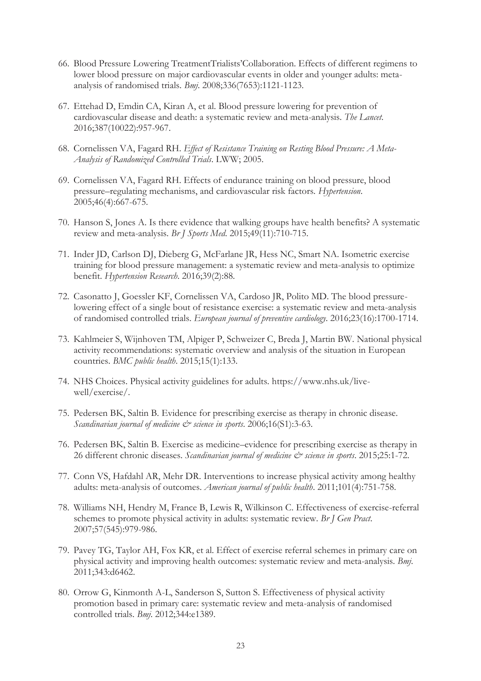- 66. Blood Pressure Lowering TreatmentTrialists'Collaboration. Effects of different regimens to lower blood pressure on major cardiovascular events in older and younger adults: metaanalysis of randomised trials. *Bmj*. 2008;336(7653):1121-1123.
- 67. Ettehad D, Emdin CA, Kiran A, et al. Blood pressure lowering for prevention of cardiovascular disease and death: a systematic review and meta-analysis. *The Lancet*. 2016;387(10022):957-967.
- 68. Cornelissen VA, Fagard RH. *Effect of Resistance Training on Resting Blood Pressure: A Meta-Analysis of Randomized Controlled Trials*. LWW; 2005.
- 69. Cornelissen VA, Fagard RH. Effects of endurance training on blood pressure, blood pressure–regulating mechanisms, and cardiovascular risk factors. *Hypertension*. 2005;46(4):667-675.
- 70. Hanson S, Jones A. Is there evidence that walking groups have health benefits? A systematic review and meta-analysis. *Br J Sports Med*. 2015;49(11):710-715.
- 71. Inder JD, Carlson DJ, Dieberg G, McFarlane JR, Hess NC, Smart NA. Isometric exercise training for blood pressure management: a systematic review and meta-analysis to optimize benefit. *Hypertension Research*. 2016;39(2):88.
- 72. Casonatto J, Goessler KF, Cornelissen VA, Cardoso JR, Polito MD. The blood pressurelowering effect of a single bout of resistance exercise: a systematic review and meta-analysis of randomised controlled trials. *European journal of preventive cardiology*. 2016;23(16):1700-1714.
- 73. Kahlmeier S, Wijnhoven TM, Alpiger P, Schweizer C, Breda J, Martin BW. National physical activity recommendations: systematic overview and analysis of the situation in European countries. *BMC public health*. 2015;15(1):133.
- 74. NHS Choices. Physical activity guidelines for adults. https://www.nhs.uk/livewell/exercise/.
- 75. Pedersen BK, Saltin B. Evidence for prescribing exercise as therapy in chronic disease. *Scandinavian journal of medicine & science in sports*. 2006;16(S1):3-63.
- 76. Pedersen BK, Saltin B. Exercise as medicine–evidence for prescribing exercise as therapy in 26 different chronic diseases. *Scandinavian journal of medicine & science in sports*. 2015;25:1-72.
- 77. Conn VS, Hafdahl AR, Mehr DR. Interventions to increase physical activity among healthy adults: meta-analysis of outcomes. *American journal of public health*. 2011;101(4):751-758.
- 78. Williams NH, Hendry M, France B, Lewis R, Wilkinson C. Effectiveness of exercise-referral schemes to promote physical activity in adults: systematic review. *Br J Gen Pract*. 2007;57(545):979-986.
- 79. Pavey TG, Taylor AH, Fox KR, et al. Effect of exercise referral schemes in primary care on physical activity and improving health outcomes: systematic review and meta-analysis. *Bmj*. 2011;343:d6462.
- 80. Orrow G, Kinmonth A-L, Sanderson S, Sutton S. Effectiveness of physical activity promotion based in primary care: systematic review and meta-analysis of randomised controlled trials. *Bmj*. 2012;344:e1389.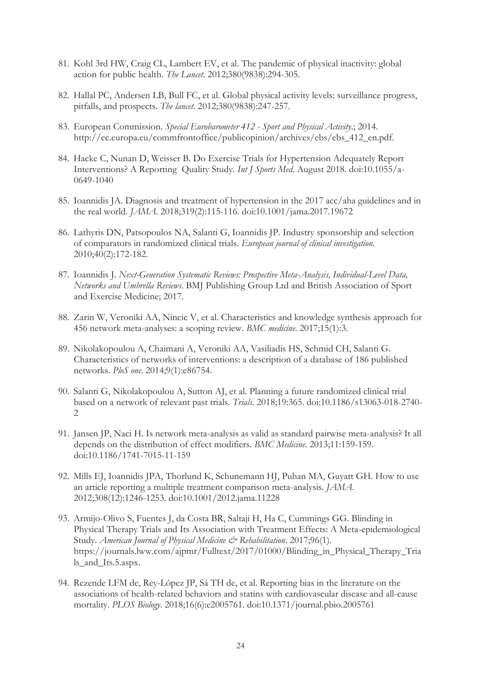- 81. Kohl 3rd HW, Craig CL, Lambert EV, et al. The pandemic of physical inactivity: global action for public health. *The Lancet*. 2012;380(9838):294-305.
- 82. Hallal PC, Andersen LB, Bull FC, et al. Global physical activity levels: surveillance progress, pitfalls, and prospects. *The lancet*. 2012;380(9838):247-257.
- 83. European Commission. *Special Eurobarometer 412 Sport and Physical Activity*.; 2014. http://ec.europa.eu/commfrontoffice/publicopinion/archives/ebs/ebs\_412\_en.pdf.
- 84. Hacke C, Nunan D, Weisser B. Do Exercise Trials for Hypertension Adequately Report Interventions? A Reporting Quality Study. *Int J Sports Med*. August 2018. doi:10.1055/a-0649-1040
- 85. Ioannidis JA. Diagnosis and treatment of hypertension in the 2017 acc/aha guidelines and in the real world. *JAMA*. 2018;319(2):115-116. doi:10.1001/jama.2017.19672
- 86. Lathyris DN, Patsopoulos NA, Salanti G, Ioannidis JP. Industry sponsorship and selection of comparators in randomized clinical trials. *European journal of clinical investigation*. 2010;40(2):172-182.
- 87. Ioannidis J. *Next-Generation Systematic Reviews: Prospective Meta-Analysis, Individual-Level Data, Networks and Umbrella Reviews*. BMJ Publishing Group Ltd and British Association of Sport and Exercise Medicine; 2017.
- 88. Zarin W, Veroniki AA, Nincic V, et al. Characteristics and knowledge synthesis approach for 456 network meta-analyses: a scoping review. *BMC medicine*. 2017;15(1):3.
- 89. Nikolakopoulou A, Chaimani A, Veroniki AA, Vasiliadis HS, Schmid CH, Salanti G. Characteristics of networks of interventions: a description of a database of 186 published networks. *PloS one*. 2014;9(1):e86754.
- 90. Salanti G, Nikolakopoulou A, Sutton AJ, et al. Planning a future randomized clinical trial based on a network of relevant past trials. *Trials*. 2018;19:365. doi:10.1186/s13063-018-2740-  $\mathfrak{D}$
- 91. Jansen JP, Naci H. Is network meta-analysis as valid as standard pairwise meta-analysis? It all depends on the distribution of effect modifiers. *BMC Medicine*. 2013;11:159-159. doi:10.1186/1741-7015-11-159
- 92. Mills EJ, Ioannidis JPA, Thorlund K, Schunemann HJ, Puhan MA, Guyatt GH. How to use an article reporting a multiple treatment comparison meta-analysis. *JAMA*. 2012;308(12):1246-1253. doi:10.1001/2012.jama.11228
- 93. Armijo-Olivo S, Fuentes J, da Costa BR, Saltaji H, Ha C, Cummings GG. Blinding in Physical Therapy Trials and Its Association with Treatment Effects: A Meta-epidemiological Study. *American Journal of Physical Medicine & Rehabilitation*. 2017;96(1). https://journals.lww.com/ajpmr/Fulltext/2017/01000/Blinding\_in\_Physical\_Therapy\_Tria ls\_and\_Its.5.aspx.
- 94. Rezende LFM de, Rey-López JP, Sá TH de, et al. Reporting bias in the literature on the associations of health-related behaviors and statins with cardiovascular disease and all-cause mortality. *PLOS Biology*. 2018;16(6):e2005761. doi:10.1371/journal.pbio.2005761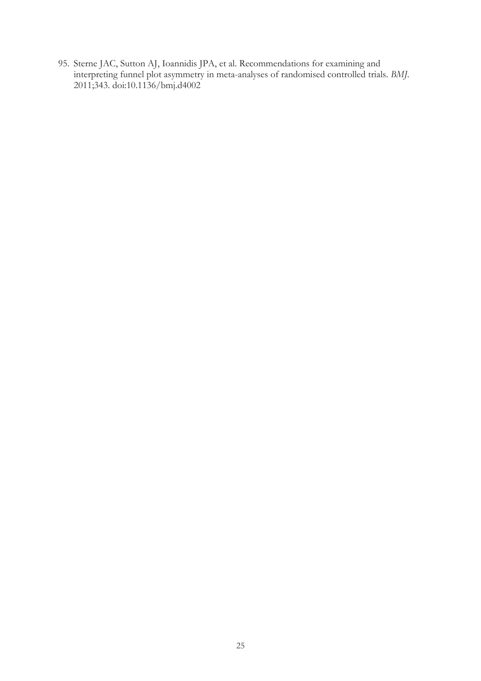95. Sterne JAC, Sutton AJ, Ioannidis JPA, et al. Recommendations for examining and interpreting funnel plot asymmetry in meta-analyses of randomised controlled trials. *BMJ*. 2011;343. doi:10.1136/bmj.d4002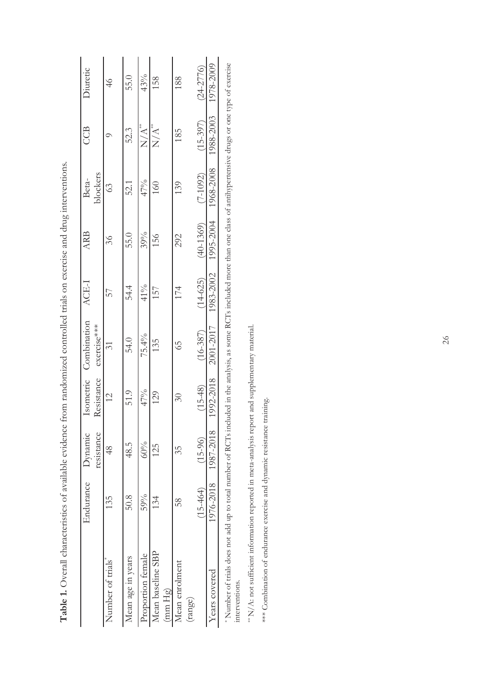| 50.8<br>135<br>Mean age in years<br>Number of trials | resistance | Isometric<br><b>Resistance</b> | Combination<br>exercise*** | ACE-1        | <b>ARB</b>  | blockers<br>Beta- | CCB              | Diuretic      |
|------------------------------------------------------|------------|--------------------------------|----------------------------|--------------|-------------|-------------------|------------------|---------------|
|                                                      | 48         | $\overline{2}$                 | $\Im$                      | 57           | 36          | 63                |                  | $\frac{1}{4}$ |
|                                                      | 48.5       | 51.9                           | 54.0                       | 54.4         | 55.0        | 52.1              | 52.3             | 55.0          |
| 59%<br>Proportion female                             | 60%        | 47%                            | 75.4%                      | 41%          | 39%         | 47%               | $\sum_{i=1}^{n}$ | 43%           |
| 134<br>Mean baseline SBP<br>(mm Hg)                  | 125        | 129                            | 135                        | 157          | 156         | 160               | $N/A^*$          | 158           |
| 58<br>Mean enrolment<br>(range)                      | 35         | 30                             | SP                         | 174          | 292         | 139               | 185              | 188           |
| $(15-464)$                                           | $(15-96)$  | $(15-48)$                      | $(16-387)$                 | $(14 - 625)$ | $(40-1369)$ | $(7 - 1092)$      | $(15-397)$       | $(24 - 2776)$ |
| 1976-2018<br>Years covered                           | 1987-2018  | 992-2018                       | 2001-2017                  | 1983-2002    | 1995-2004   | 1968-2008         | 1988-2003        | 1978-2009     |

**Table 1.** Overall characteristics of available evidence from randomized controlled trials on exercise and drug interventions. Table 1. Overall characteristics of available evidence from randomized controlled trials on exercise and drug interventions.

\* Number of trials does not add up to total number of RCTs included in the analysis, as some RCTs included more than one class of antihypertensive drugs or one type of exercise \* Number of trials does not add up to total number of RCTs included in the analysis, as some RCTs included more than one class of antihypertensive drugs or one type of exercise interventions. interventions.

 $^{**}N/A$ : not sufficient information reported in meta-analysis report and supplementary material. \*\* N/A: not sufficient information reported in meta-analysis report and supplementary material.

\*\*\* Combination of endurance exercise and dynamic resistance training. \*\*\* Combination of endurance exercise and dynamic resistance training.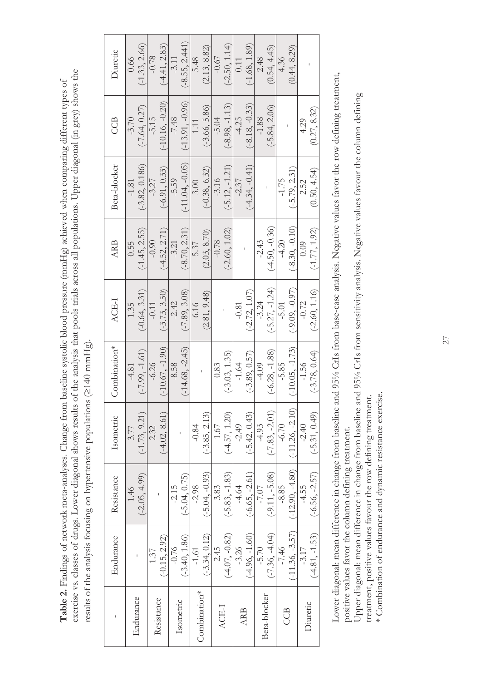exercise vs. classes of drugs. Lower diagonal shows results of the analysis that pools trials across all populations. Upper diagonal (in grey) shows the exercise vs. classes of drugs. Lower diagonal shows results of the analysis that pools trials across all populations. Upper diagonal (in grey) shows the Table 2. Findings of network meta-analyses. Change from baseline systolic blood pressure (mmHg) achieved when comparing different types of **Table 2.** Findings of network meta-analyses. Change from baseline systolic blood pressure (mmHg) achieved when comparing different types of results of the analysis focusing on hypertensive populations (³140 mmHg). results of the analysis focusing on hypertensive populations (2140 mmHg).

| Diuretic     | 0.66      | $(-1.33, 2.66)$  | $-0.78$    | $(-4.41, 2.83)$   | $-3.11$   | $(-8.55, 2.441)$  | 5.48         | (2.13, 8.82)     | $-0.67$ | $(-2.50, 1.14)$  | 0.11       | $(-1.68, 1.89)$  | 2.48         | (0.54, 4.45)     | 4.36    | (0.44, 8.29)      |          |                  |
|--------------|-----------|------------------|------------|-------------------|-----------|-------------------|--------------|------------------|---------|------------------|------------|------------------|--------------|------------------|---------|-------------------|----------|------------------|
| CCB          | $-3.70$   | $(-7.64, 0.27)$  | $-5.15$    | $(-10.16, -0.20)$ | $-7.48$   | $(-13.91, -0.96)$ | 1.11         | $(-3.66, 5.86)$  | $-5.04$ | $(-8.98, -1.13)$ | $-4.25$    | $(-8.18, -0.33)$ | $-1.88$      | $(-5.84, 2.06)$  |         |                   | 4.29     | (0.27, 8.32)     |
| Beta-blocker | $-1.81$   | $(-3.82, 0.186)$ | $-3.27$    | $(-6.91, 0.33)$   | $-5.59$   | $(-11.04, -0.05)$ | 3.00         | $(-0.38, 6.32)$  | $-3.16$ | $(-5.12, -1.21)$ | $-2.37$    | $(-4.34, -0.41)$ |              |                  | $-1.75$ | $(-5.79, 2.31)$   | 2.52     | (0.50, 4.54)     |
| <b>ARB</b>   | 0.55      | $-1.45, 2.55$    | $-0.90$    | $(-4.52, 2.71)$   | $-3.21$   | $(-8.70, 2.31)$   | 5.37         | (2.03, 8.70)     | $-0.78$ | $(-2.60, 1.02)$  |            |                  | $-2.43$      | $(-4.50, -0.36)$ | $-4.20$ | $(-8.30, -0.10)$  | 0.09     | $(-1.77, 1.92)$  |
| ACE-I        | 1.35      | $(-0.64, 3.31)$  | $-0.11$    | $(-3.73, 3.50)$   | $-2.42$   | $(-7.89, 3.08)$   | 6.16         | (2.81, 9.48)     |         |                  | $-0.81$    | $(-2.72, 1.07)$  | $-3.24$      | $(-5.27, -1.24)$ | $-5.01$ | $(-9.09, -0.97)$  | $-0.72$  | $(-2.60, 1.16)$  |
| Combination* | $-4.81$   | $(-7.99, -1.61)$ | $-6.26$    | $(-10.67, -1.90)$ | $-8.58$   | $(-14.68, -2.45)$ |              |                  | $-0.83$ | $(-3.03, 1.35)$  | $-1.64$    | $(-3.89, 0.57)$  | $-4.09$      | $(-6.28, -1.88)$ | $-5.85$ | $-10.05, -1.73$   | $-1.56$  | $(-3.78, 0.64)$  |
| Isometric    | 3.77      | $(-1.73, 9.21)$  | 2.32       | (4.02, 8.61)      |           |                   | $-0.84$      | $(-3.85, 2.13)$  | $-1.67$ | $(-4.57, 1.20)$  | $-2.49$    | $(-5.42, 0.43)$  | $-4.93$      | $(-7.83, -2.01)$ | $-6.70$ | $(-11.26, -2.10)$ | $-2.40$  | $(-5.31, 0.49)$  |
| Resistance   | 1.46      | $(-2.05, 4.99)$  |            |                   | $-2.15$   | $(-5.04, 0.75)$   | $-2.98$      | $(-5.04, -0.93)$ | -3.83   | $(-5.83, -1.83)$ | $-4.64$    | $(-6.65, -2.61)$ | $-7.07$      | $(-9.11, -5.08)$ | $-8.85$ | $(-12.90, -4.80)$ | -4.55    | $(-6.56, -2.57)$ |
| Endurance    |           |                  | 1.37       | $(-0.15, 2.92)$   | $-0.76$   | $(-3.40, 1.86)$   | $-1.61$      | $(-3.34, 0.12)$  | $-2.45$ | $(-4.07, -0.82)$ | -3.26      | $(-4.96, -1.60)$ | $-5.70$      | $(-7.36, -4.04)$ | $-7.46$ | $(-11.36, -3.57)$ | $-3.17$  | $(-4.81, -1.53)$ |
|              | Endurance |                  | Resistance |                   | Isometric |                   | Combination* |                  | ACE-I   |                  | <b>ARB</b> |                  | Beta-blocker |                  | CCB     |                   | Diuretic |                  |

Lower diagonal: mean difference in change from baseline and 95% CrIs from base-case analysis. Negative values favor the row defining treatment, Lower diagonal: mean difference in change from baseline and 95% CrIs from base-case analysis. Negative values favor the row defining treatment, positive values favor the column defining treatment. positive values favor the column defining treatment.

Upper diagonal: mean difference in change from baseline and 95% CrIs from sensitivity analysis. Negative values favour the column defining Upper diagonal: mean difference in change from baseline and 95% CrIs from sensitivity analysis. Negative values favour the column defining

treatment, positive values favour the row defining treatment. treatment, positive values favour the row defining treatment.

\* Combination of endurance and dynamic resistance exercise. \* Combination of endurance and dynamic resistance exercise.

27